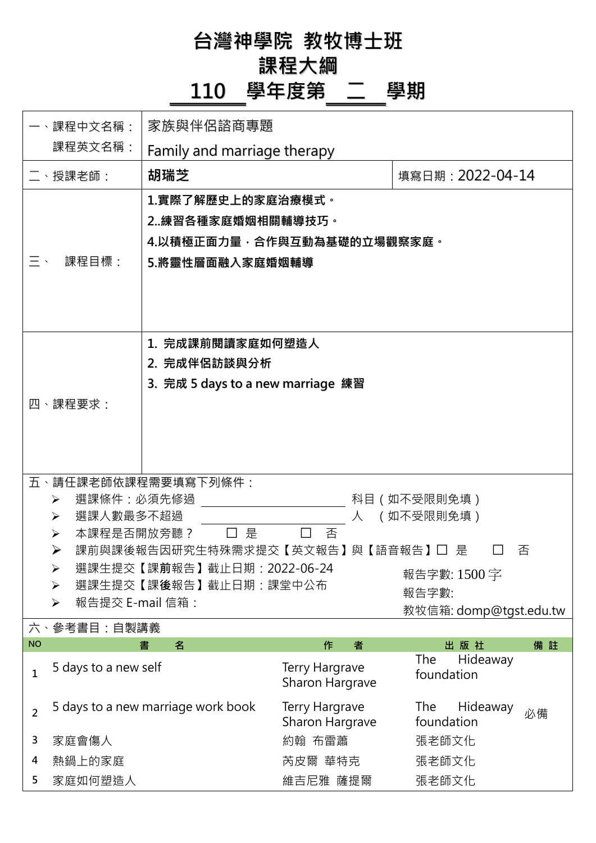**台灣神學院 教牧博士班**

## **課程大綱**

## **110 學年度第 二 學期**

| 一、課程中文名稱:                                                                                                                                                                                                                                                                                                                              |                                    | 家族與伴侶諮商專題                                                                              |                                   |                                     |  |  |
|----------------------------------------------------------------------------------------------------------------------------------------------------------------------------------------------------------------------------------------------------------------------------------------------------------------------------------------|------------------------------------|----------------------------------------------------------------------------------------|-----------------------------------|-------------------------------------|--|--|
|                                                                                                                                                                                                                                                                                                                                        | 課程英文名稱:                            | Family and marriage therapy                                                            |                                   |                                     |  |  |
|                                                                                                                                                                                                                                                                                                                                        | 、授課老師:                             | 胡瑞芝                                                                                    |                                   | 填寫日期: 2022-04-14                    |  |  |
| $\equiv$ $\cdot$                                                                                                                                                                                                                                                                                                                       | 課程目標:                              | 1.實際了解歷史上的家庭治療模式。<br>2練習各種家庭婚姻相關輔導技巧。<br>4.以積極正面力量,合作與互動為基礎的立場觀察家庭。<br>5.將靈性層面融入家庭婚姻輔導 |                                   |                                     |  |  |
|                                                                                                                                                                                                                                                                                                                                        | 四、課程要求:                            | 1. 完成課前閱讀家庭如何塑造人<br>2. 完成伴侶訪談與分析<br>3. 完成 5 days to a new marriage 練習                  |                                   |                                     |  |  |
| 五、請任課老師依課程需要填寫下列條件:<br>選課條件:必須先修過<br>科目(如不受限則免填)<br>➤<br>(如不受限則免填)<br>選課人數最多不超過<br>人<br>➤<br>本課程是否開放旁聽?<br>□是<br>否<br>➤<br>➤<br>課前與課後報告因研究生特殊需求提交【英文報告】與【語音報告】□ 是<br>否<br>選課生提交【課前報告】截止日期: 2022-06-24<br>$\blacktriangleright$<br>報告字數: 1500字<br>選課生提交【課後報告】截止日期:課堂中公布<br>➤<br>報告字數:<br>報告提交 E-mail 信箱:<br>➤<br>教牧信箱: domp@tgst.edu.tw |                                    |                                                                                        |                                   |                                     |  |  |
| <b>NO</b>                                                                                                                                                                                                                                                                                                                              | 六、參考書目:自製講義                        | 名<br>書                                                                                 | 作<br>者                            | 出版社<br>備註                           |  |  |
| 1                                                                                                                                                                                                                                                                                                                                      | 5 days to a new self               |                                                                                        | Terry Hargrave<br>Sharon Hargrave | Hideaway<br>The<br>foundation       |  |  |
| $\overline{2}$                                                                                                                                                                                                                                                                                                                         | 5 days to a new marriage work book |                                                                                        | Terry Hargrave<br>Sharon Hargrave | The<br>Hideaway<br>必備<br>foundation |  |  |
| 3                                                                                                                                                                                                                                                                                                                                      | 家庭會傷人                              |                                                                                        | 約翰 布雷蕭                            | 張老師文化                               |  |  |
| 4<br>5                                                                                                                                                                                                                                                                                                                                 | 熱鍋上的家庭                             |                                                                                        | 芮皮爾 華特克                           | 張老師文化                               |  |  |
|                                                                                                                                                                                                                                                                                                                                        | 家庭如何塑造人                            |                                                                                        | 維吉尼雅 薩提爾                          | 張老師文化                               |  |  |